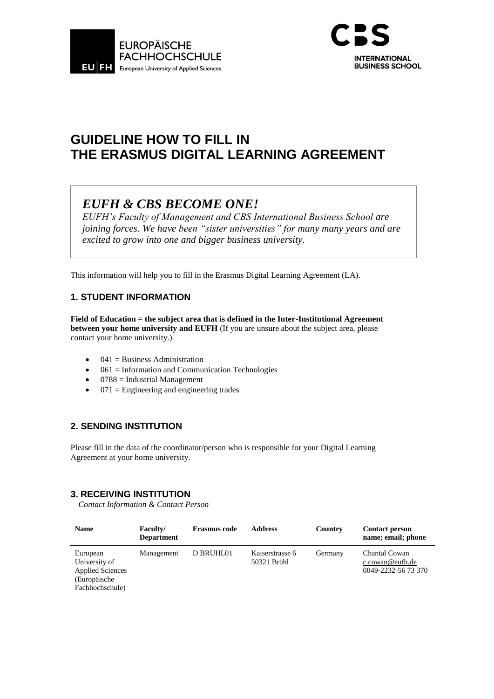



# **GUIDELINE HOW TO FILL IN THE ERASMUS DIGITAL LEARNING AGREEMENT**

# *EUFH & CBS BECOME ONE!*

*EUFH's Faculty of Management and CBS International Business School are joining forces. We have been "sister universities" for many many years and are excited to grow into one and bigger business university.*

This information will help you to fill in the Erasmus Digital Learning Agreement (LA).

### **1. STUDENT INFORMATION**

**Field of Education = the subject area that is defined in the Inter-Institutional Agreement between your home university and EUFH** (If you are unsure about the subject area, please contact your home university.)

- $\bullet$  041 = Business Administration
- $\bullet$  061 = Information and Communication Technologies
- $\bullet$  0788 = Industrial Management
- $\bullet$  071 = Engineering and engineering trades

### **2. SENDING INSTITUTION**

Please fill in the data of the coordinator/person who is responsible for your Digital Learning Agreement at your home university.

### **3. RECEIVING INSTITUTION**

*Contact Information & Contact Person*

| <b>Name</b>                                                                             | <b>Faculty/</b><br><b>Department</b> | Erasmus code | <b>Address</b>                 | Country | <b>Contact person</b><br>name; email; phone             |
|-----------------------------------------------------------------------------------------|--------------------------------------|--------------|--------------------------------|---------|---------------------------------------------------------|
| European<br>University of<br><b>Applied Sciences</b><br>(Europäische<br>Fachhochschule) | Management                           | D BRUHL01    | Kaiserstrasse 6<br>50321 Brühl | Germany | Chantal Cowan<br>c.cowan@eufh.de<br>0049-2232-56 73 370 |